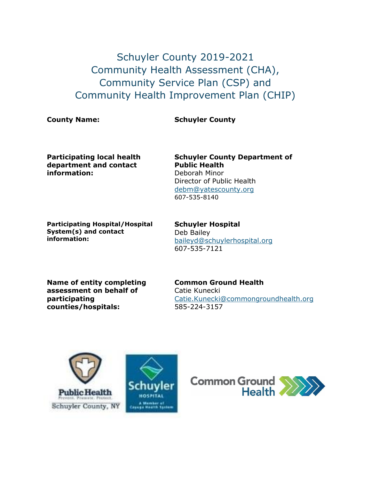Schuyler County 2019-2021 Community Health Assessment (CHA), Community Service Plan (CSP) and Community Health Improvement Plan (CHIP)

# **County Name: Schuyler County**

**Participating local health department and contact information:**

**Schuyler County Department of Public Health** Deborah Minor Director of Public Health [debm@yatescounty.org](mailto:debm@yatescounty.org) 607-535-8140

**Participating Hospital/Hospital System(s) and contact information:**

**Schuyler Hospital**  Deb Bailey [baileyd@schuylerhospital.org](mailto:baileyd@schuylerhospital.org) 607-535-7121

**Name of entity completing assessment on behalf of participating counties/hospitals:**

**Common Ground Health** Catie Kunecki [Catie.Kunecki@commongroundhealth.org](mailto:Catie.Kunecki@commongroundhealth.org) 585-224-3157



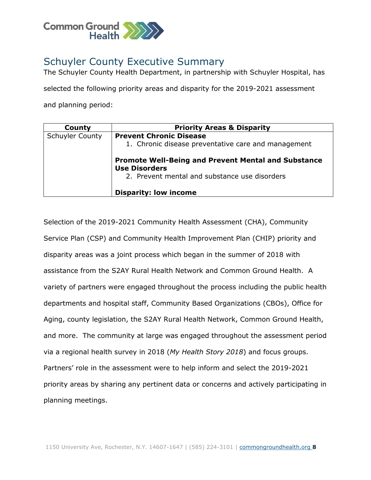

# Schuyler County Executive Summary

The Schuyler County Health Department, in partnership with Schuyler Hospital, has

selected the following priority areas and disparity for the 2019-2021 assessment

and planning period:

| County                 | <b>Priority Areas &amp; Disparity</b>                                              |
|------------------------|------------------------------------------------------------------------------------|
| <b>Schuyler County</b> | <b>Prevent Chronic Disease</b>                                                     |
|                        | 1. Chronic disease preventative care and management                                |
|                        | <b>Promote Well-Being and Prevent Mental and Substance</b><br><b>Use Disorders</b> |
|                        | 2. Prevent mental and substance use disorders                                      |
|                        | <b>Disparity: low income</b>                                                       |

Selection of the 2019-2021 Community Health Assessment (CHA), Community Service Plan (CSP) and Community Health Improvement Plan (CHIP) priority and disparity areas was a joint process which began in the summer of 2018 with assistance from the S2AY Rural Health Network and Common Ground Health. A variety of partners were engaged throughout the process including the public health departments and hospital staff, Community Based Organizations (CBOs), Office for Aging, county legislation, the S2AY Rural Health Network, Common Ground Health, and more. The community at large was engaged throughout the assessment period via a regional health survey in 2018 (*My Health Story 2018*) and focus groups. Partners' role in the assessment were to help inform and select the 2019-2021 priority areas by sharing any pertinent data or concerns and actively participating in planning meetings.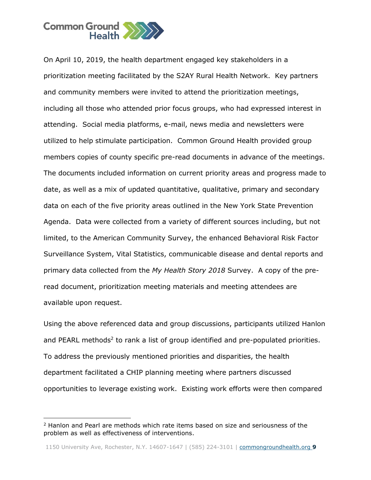

On April 10, 2019, the health department engaged key stakeholders in a prioritization meeting facilitated by the S2AY Rural Health Network. Key partners and community members were invited to attend the prioritization meetings, including all those who attended prior focus groups, who had expressed interest in attending. Social media platforms, e-mail, news media and newsletters were utilized to help stimulate participation. Common Ground Health provided group members copies of county specific pre-read documents in advance of the meetings. The documents included information on current priority areas and progress made to date, as well as a mix of updated quantitative, qualitative, primary and secondary data on each of the five priority areas outlined in the New York State Prevention Agenda. Data were collected from a variety of different sources including, but not limited, to the American Community Survey, the enhanced Behavioral Risk Factor Surveillance System, Vital Statistics, communicable disease and dental reports and primary data collected from the *My Health Story 2018* Survey. A copy of the preread document, prioritization meeting materials and meeting attendees are available upon request.

Using the above referenced data and group discussions, participants utilized Hanlon and PEARL methods<sup>2</sup> to rank a list of group identified and pre-populated priorities. To address the previously mentioned priorities and disparities, the health department facilitated a CHIP planning meeting where partners discussed opportunities to leverage existing work. Existing work efforts were then compared

j

 $2$  Hanlon and Pearl are methods which rate items based on size and seriousness of the problem as well as effectiveness of interventions.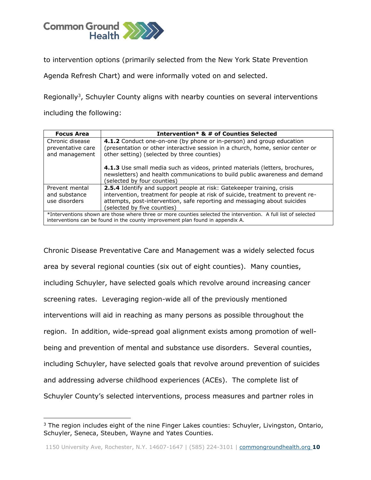

j

to intervention options (primarily selected from the New York State Prevention

Agenda Refresh Chart) and were informally voted on and selected.

Regionally<sup>3</sup>, Schuyler County aligns with nearby counties on several interventions including the following:

| <b>Focus Area</b>                                                                                                                                                                                | Intervention* & # of Counties Selected                                                                                                                                                                                                                                      |  |  |  |  |
|--------------------------------------------------------------------------------------------------------------------------------------------------------------------------------------------------|-----------------------------------------------------------------------------------------------------------------------------------------------------------------------------------------------------------------------------------------------------------------------------|--|--|--|--|
| Chronic disease<br>preventative care<br>and management                                                                                                                                           | 4.1.2 Conduct one-on-one (by phone or in-person) and group education<br>(presentation or other interactive session in a church, home, senior center or<br>other setting) (selected by three counties)                                                                       |  |  |  |  |
|                                                                                                                                                                                                  | 4.1.3 Use small media such as videos, printed materials (letters, brochures,<br>newsletters) and health communications to build public awareness and demand<br>(selected by four counties)                                                                                  |  |  |  |  |
| Prevent mental<br>and substance<br>use disorders                                                                                                                                                 | <b>2.5.4</b> Identify and support people at risk: Gatekeeper training, crisis<br>intervention, treatment for people at risk of suicide, treatment to prevent re-<br>attempts, post-intervention, safe reporting and messaging about suicides<br>(selected by five counties) |  |  |  |  |
| *Interventions shown are those where three or more counties selected the intervention. A full list of selected<br>interventions can be found in the county improvement plan found in appendix A. |                                                                                                                                                                                                                                                                             |  |  |  |  |

Chronic Disease Preventative Care and Management was a widely selected focus area by several regional counties (six out of eight counties). Many counties, including Schuyler, have selected goals which revolve around increasing cancer screening rates. Leveraging region-wide all of the previously mentioned interventions will aid in reaching as many persons as possible throughout the region. In addition, wide-spread goal alignment exists among promotion of wellbeing and prevention of mental and substance use disorders. Several counties, including Schuyler, have selected goals that revolve around prevention of suicides and addressing adverse childhood experiences (ACEs). The complete list of Schuyler County's selected interventions, process measures and partner roles in

<sup>&</sup>lt;sup>3</sup> The region includes eight of the nine Finger Lakes counties: Schuyler, Livingston, Ontario, Schuyler, Seneca, Steuben, Wayne and Yates Counties.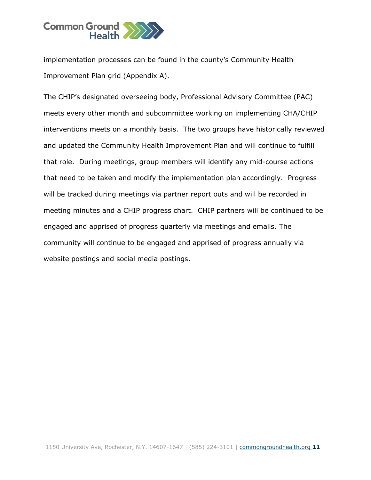

implementation processes can be found in the county's Community Health Improvement Plan grid (Appendix A).

The CHIP's designated overseeing body, Professional Advisory Committee (PAC) meets every other month and subcommittee working on implementing CHA/CHIP interventions meets on a monthly basis. The two groups have historically reviewed and updated the Community Health Improvement Plan and will continue to fulfill that role. During meetings, group members will identify any mid-course actions that need to be taken and modify the implementation plan accordingly. Progress will be tracked during meetings via partner report outs and will be recorded in meeting minutes and a CHIP progress chart. CHIP partners will be continued to be engaged and apprised of progress quarterly via meetings and emails. The community will continue to be engaged and apprised of progress annually via website postings and social media postings.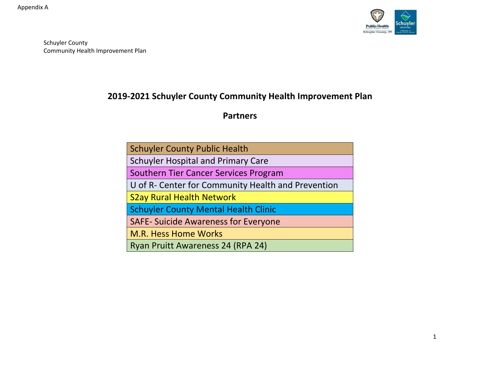

# **2019-2021 Schuyler County Community Health Improvement Plan**

**Partners**

| <b>Schuyler County Public Health</b>               |  |  |  |  |  |
|----------------------------------------------------|--|--|--|--|--|
| <b>Schuyler Hospital and Primary Care</b>          |  |  |  |  |  |
| Southern Tier Cancer Services Program              |  |  |  |  |  |
| U of R- Center for Community Health and Prevention |  |  |  |  |  |
| <b>S2ay Rural Health Network</b>                   |  |  |  |  |  |
| <b>Schuyler County Mental Health Clinic</b>        |  |  |  |  |  |
| <b>SAFE- Suicide Awareness for Everyone</b>        |  |  |  |  |  |
| <b>M.R. Hess Home Works</b>                        |  |  |  |  |  |
| Ryan Pruitt Awareness 24 (RPA 24)                  |  |  |  |  |  |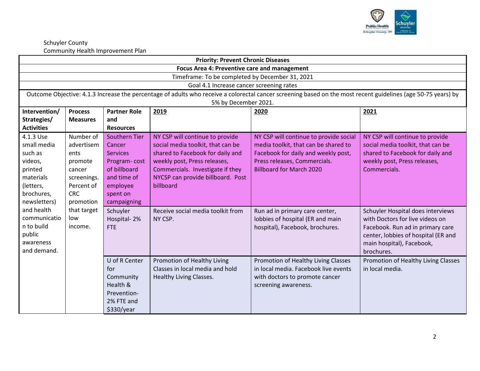

| <b>Priority: Prevent Chronic Diseases</b>                                      |                                              |                                                                                                              |                                                 |                                                                                                                                                               |                                     |  |  |  |  |
|--------------------------------------------------------------------------------|----------------------------------------------|--------------------------------------------------------------------------------------------------------------|-------------------------------------------------|---------------------------------------------------------------------------------------------------------------------------------------------------------------|-------------------------------------|--|--|--|--|
|                                                                                | Focus Area 4: Preventive care and management |                                                                                                              |                                                 |                                                                                                                                                               |                                     |  |  |  |  |
|                                                                                |                                              |                                                                                                              | Timeframe: To be completed by December 31, 2021 |                                                                                                                                                               |                                     |  |  |  |  |
|                                                                                |                                              |                                                                                                              | Goal 4.1 Increase cancer screening rates        |                                                                                                                                                               |                                     |  |  |  |  |
|                                                                                |                                              |                                                                                                              |                                                 | Outcome Objective: 4.1.3 Increase the percentage of adults who receive a colorectal cancer screening based on the most recent guidelines (age 50-75 years) by |                                     |  |  |  |  |
|                                                                                |                                              |                                                                                                              | 5% by December 2021.                            |                                                                                                                                                               |                                     |  |  |  |  |
| Intervention/<br><b>Partner Role</b><br><b>Process</b><br>2019<br>2020<br>2021 |                                              |                                                                                                              |                                                 |                                                                                                                                                               |                                     |  |  |  |  |
| Strategies/                                                                    | <b>Measures</b>                              | and                                                                                                          |                                                 |                                                                                                                                                               |                                     |  |  |  |  |
| <b>Activities</b>                                                              |                                              | <b>Resources</b>                                                                                             |                                                 |                                                                                                                                                               |                                     |  |  |  |  |
| 4.1.3 Use                                                                      | Number of                                    | <b>Southern Tier</b>                                                                                         | NY CSP will continue to provide                 | NY CSP will continue to provide social                                                                                                                        | NY CSP will continue to provide     |  |  |  |  |
| small media                                                                    | advertisem                                   | Cancer                                                                                                       | social media toolkit, that can be               | media toolkit, that can be shared to                                                                                                                          | social media toolkit, that can be   |  |  |  |  |
| such as                                                                        | ents                                         | <b>Services</b>                                                                                              | shared to Facebook for daily and                | Facebook for daily and weekly post,                                                                                                                           | shared to Facebook for daily and    |  |  |  |  |
| videos,                                                                        | promote                                      | weekly post, Press releases,<br>Press releases, Commercials.<br>weekly post, Press releases,<br>Program-cost |                                                 |                                                                                                                                                               |                                     |  |  |  |  |
| printed                                                                        | cancer                                       | of billboard                                                                                                 | Commercials. Investigate if they                | <b>Billboard for March 2020</b>                                                                                                                               | Commercials.                        |  |  |  |  |
| materials                                                                      | screenings.                                  | and time of                                                                                                  | NYCSP can provide billboard. Post               |                                                                                                                                                               |                                     |  |  |  |  |
| (letters,                                                                      | Percent of                                   | employee                                                                                                     | billboard                                       |                                                                                                                                                               |                                     |  |  |  |  |
| brochures,                                                                     | <b>CRC</b>                                   | spent on                                                                                                     |                                                 |                                                                                                                                                               |                                     |  |  |  |  |
| newsletters)                                                                   | promotion                                    | campaigning                                                                                                  |                                                 |                                                                                                                                                               |                                     |  |  |  |  |
| and health                                                                     | that target                                  | Schuyler                                                                                                     | Receive social media toolkit from               | Run ad in primary care center,                                                                                                                                | Schuyler Hospital does interviews   |  |  |  |  |
| communicatio                                                                   | low                                          | Hospital-2%                                                                                                  | NY CSP.                                         | lobbies of hospital (ER and main                                                                                                                              | with Doctors for live videos on     |  |  |  |  |
| n to build                                                                     | income.                                      | <b>FTE</b>                                                                                                   |                                                 | hospital), Facebook, brochures.                                                                                                                               | Facebook. Run ad in primary care    |  |  |  |  |
| public                                                                         |                                              |                                                                                                              |                                                 |                                                                                                                                                               | center, lobbies of hospital (ER and |  |  |  |  |
| awareness                                                                      |                                              |                                                                                                              |                                                 |                                                                                                                                                               | main hospital), Facebook,           |  |  |  |  |
| and demand.                                                                    |                                              |                                                                                                              |                                                 |                                                                                                                                                               | brochures.                          |  |  |  |  |
|                                                                                |                                              | U of R Center                                                                                                | Promotion of Healthy Living                     | Promotion of Healthy Living Classes                                                                                                                           | Promotion of Healthy Living Classes |  |  |  |  |
|                                                                                |                                              | for                                                                                                          | Classes in local media and hold                 | in local media. Facebook live events                                                                                                                          | in local media.                     |  |  |  |  |
|                                                                                |                                              | Community                                                                                                    | Healthy Living Classes.                         | with doctors to promote cancer                                                                                                                                |                                     |  |  |  |  |
|                                                                                |                                              | Health &                                                                                                     |                                                 | screening awareness.                                                                                                                                          |                                     |  |  |  |  |
|                                                                                |                                              | Prevention-                                                                                                  |                                                 |                                                                                                                                                               |                                     |  |  |  |  |
|                                                                                |                                              | 2% FTE and                                                                                                   |                                                 |                                                                                                                                                               |                                     |  |  |  |  |
|                                                                                |                                              | \$330/year                                                                                                   |                                                 |                                                                                                                                                               |                                     |  |  |  |  |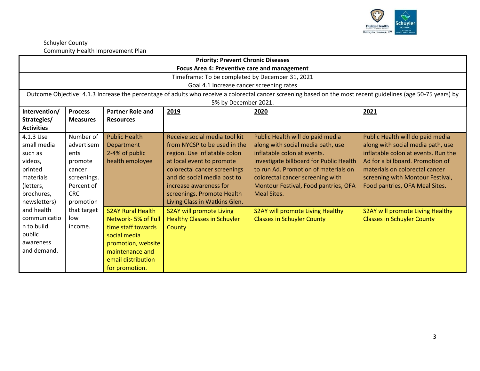

| <b>Priority: Prevent Chronic Diseases</b> |                                                     |                          |                                                 |                                                                                                                                                               |                                     |  |  |  |  |
|-------------------------------------------|-----------------------------------------------------|--------------------------|-------------------------------------------------|---------------------------------------------------------------------------------------------------------------------------------------------------------------|-------------------------------------|--|--|--|--|
|                                           | <b>Focus Area 4: Preventive care and management</b> |                          |                                                 |                                                                                                                                                               |                                     |  |  |  |  |
|                                           |                                                     |                          | Timeframe: To be completed by December 31, 2021 |                                                                                                                                                               |                                     |  |  |  |  |
|                                           |                                                     |                          | Goal 4.1 Increase cancer screening rates        |                                                                                                                                                               |                                     |  |  |  |  |
|                                           |                                                     |                          |                                                 | Outcome Objective: 4.1.3 Increase the percentage of adults who receive a colorectal cancer screening based on the most recent guidelines (age 50-75 years) by |                                     |  |  |  |  |
|                                           |                                                     |                          | 5% by December 2021.                            |                                                                                                                                                               |                                     |  |  |  |  |
| Intervention/                             | <b>Process</b>                                      | <b>Partner Role and</b>  | 2019                                            | 2020                                                                                                                                                          | 2021                                |  |  |  |  |
| Strategies/                               | <b>Measures</b>                                     | <b>Resources</b>         |                                                 |                                                                                                                                                               |                                     |  |  |  |  |
| <b>Activities</b>                         |                                                     |                          |                                                 |                                                                                                                                                               |                                     |  |  |  |  |
| 4.1.3 Use                                 | Number of                                           | <b>Public Health</b>     | Receive social media tool kit                   | Public Health will do paid media                                                                                                                              | Public Health will do paid media    |  |  |  |  |
| small media                               | advertisem                                          | Department               | from NYCSP to be used in the                    | along with social media path, use                                                                                                                             | along with social media path, use   |  |  |  |  |
| such as                                   | ents                                                | 2-4% of public           | region. Use Inflatable colon                    | inflatable colon at events.                                                                                                                                   | inflatable colon at events. Run the |  |  |  |  |
| videos,                                   | promote                                             | health employee          | at local event to promote                       | Investigate billboard for Public Health                                                                                                                       | Ad for a billboard. Promotion of    |  |  |  |  |
| printed                                   | cancer                                              |                          | colorectal cancer screenings                    | to run Ad. Promotion of materials on                                                                                                                          | materials on colorectal cancer      |  |  |  |  |
| materials                                 | screenings.                                         |                          | and do social media post to                     | colorectal cancer screening with                                                                                                                              | screening with Montour Festival,    |  |  |  |  |
| (letters,                                 | Percent of                                          |                          | increase awareness for                          | Montour Festival, Food pantries, OFA                                                                                                                          | Food pantries, OFA Meal Sites.      |  |  |  |  |
| brochures,                                | <b>CRC</b>                                          |                          | screenings. Promote Health                      | <b>Meal Sites.</b>                                                                                                                                            |                                     |  |  |  |  |
| newsletters)                              | promotion                                           |                          | Living Class in Watkins Glen.                   |                                                                                                                                                               |                                     |  |  |  |  |
| and health                                | that target                                         | <b>S2AY Rural Health</b> | S2AY will promote Living                        | S2AY will promote Living Healthy                                                                                                                              | S2AY will promote Living Healthy    |  |  |  |  |
| communicatio                              | low                                                 | Network-5% of Full       | <b>Healthy Classes in Schuyler</b>              | <b>Classes in Schuyler County</b>                                                                                                                             | <b>Classes in Schuyler County</b>   |  |  |  |  |
| n to build                                | income.                                             | time staff towards       | County                                          |                                                                                                                                                               |                                     |  |  |  |  |
| public                                    |                                                     | social media             |                                                 |                                                                                                                                                               |                                     |  |  |  |  |
| awareness                                 |                                                     | promotion, website       |                                                 |                                                                                                                                                               |                                     |  |  |  |  |
| and demand.                               |                                                     | maintenance and          |                                                 |                                                                                                                                                               |                                     |  |  |  |  |
|                                           |                                                     | email distribution       |                                                 |                                                                                                                                                               |                                     |  |  |  |  |
|                                           |                                                     | for promotion.           |                                                 |                                                                                                                                                               |                                     |  |  |  |  |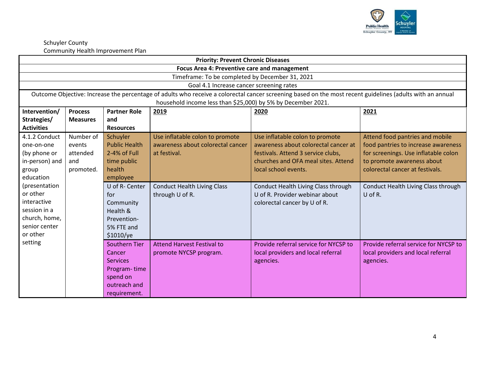

| <b>Priority: Prevent Chronic Diseases</b> |                                              |                                                                                                            |                                                              |                                                                                                                                                           |                                       |  |  |  |  |
|-------------------------------------------|----------------------------------------------|------------------------------------------------------------------------------------------------------------|--------------------------------------------------------------|-----------------------------------------------------------------------------------------------------------------------------------------------------------|---------------------------------------|--|--|--|--|
|                                           | Focus Area 4: Preventive care and management |                                                                                                            |                                                              |                                                                                                                                                           |                                       |  |  |  |  |
|                                           |                                              |                                                                                                            | Timeframe: To be completed by December 31, 2021              |                                                                                                                                                           |                                       |  |  |  |  |
|                                           |                                              |                                                                                                            | Goal 4.1 Increase cancer screening rates                     |                                                                                                                                                           |                                       |  |  |  |  |
|                                           |                                              |                                                                                                            |                                                              | Outcome Objective: Increase the percentage of adults who receive a colorectal cancer screening based on the most recent guidelines (adults with an annual |                                       |  |  |  |  |
|                                           |                                              |                                                                                                            | household income less than \$25,000) by 5% by December 2021. |                                                                                                                                                           |                                       |  |  |  |  |
| Intervention/                             | <b>Process</b>                               | <b>Partner Role</b>                                                                                        | 2019                                                         | 2020                                                                                                                                                      | 2021                                  |  |  |  |  |
| Strategies/                               | <b>Measures</b>                              | and                                                                                                        |                                                              |                                                                                                                                                           |                                       |  |  |  |  |
| <b>Activities</b>                         |                                              | <b>Resources</b>                                                                                           |                                                              |                                                                                                                                                           |                                       |  |  |  |  |
| 4.1.2 Conduct                             | Number of                                    | Schuyler                                                                                                   | Use inflatable colon to promote                              | Use inflatable colon to promote                                                                                                                           | Attend food pantries and mobile       |  |  |  |  |
| one-on-one                                | events                                       | <b>Public Health</b>                                                                                       | awareness about colorectal cancer                            | awareness about colorectal cancer at                                                                                                                      | food pantries to increase awareness   |  |  |  |  |
| (by phone or                              | attended                                     | 2-4% of Full<br>festivals. Attend 3 service clubs,<br>for screenings. Use inflatable colon<br>at festival. |                                                              |                                                                                                                                                           |                                       |  |  |  |  |
| in-person) and                            | and                                          | time public                                                                                                |                                                              | churches and OFA meal sites. Attend                                                                                                                       | to promote awareness about            |  |  |  |  |
| group                                     | promoted.                                    | health                                                                                                     |                                                              | local school events.                                                                                                                                      | colorectal cancer at festivals.       |  |  |  |  |
| education                                 |                                              | employee                                                                                                   |                                                              |                                                                                                                                                           |                                       |  |  |  |  |
| (presentation                             |                                              | U of R- Center                                                                                             | <b>Conduct Health Living Class</b>                           | Conduct Health Living Class through                                                                                                                       | Conduct Health Living Class through   |  |  |  |  |
| or other                                  |                                              | for                                                                                                        | through U of R.                                              | U of R. Provider webinar about                                                                                                                            | U of R.                               |  |  |  |  |
| interactive                               |                                              | Community                                                                                                  |                                                              | colorectal cancer by U of R.                                                                                                                              |                                       |  |  |  |  |
| session in a                              |                                              | Health &                                                                                                   |                                                              |                                                                                                                                                           |                                       |  |  |  |  |
| church, home,                             |                                              | Prevention-                                                                                                |                                                              |                                                                                                                                                           |                                       |  |  |  |  |
| senior center                             |                                              | 5% FTE and                                                                                                 |                                                              |                                                                                                                                                           |                                       |  |  |  |  |
| or other                                  |                                              | \$1010/ye                                                                                                  |                                                              |                                                                                                                                                           |                                       |  |  |  |  |
| setting                                   |                                              | <b>Southern Tier</b>                                                                                       | <b>Attend Harvest Festival to</b>                            | Provide referral service for NYCSP to                                                                                                                     | Provide referral service for NYCSP to |  |  |  |  |
|                                           |                                              | Cancer                                                                                                     | promote NYCSP program.                                       | local providers and local referral                                                                                                                        | local providers and local referral    |  |  |  |  |
|                                           |                                              | <b>Services</b>                                                                                            |                                                              | agencies.                                                                                                                                                 | agencies.                             |  |  |  |  |
|                                           |                                              | Program-time                                                                                               |                                                              |                                                                                                                                                           |                                       |  |  |  |  |
|                                           |                                              | spend on                                                                                                   |                                                              |                                                                                                                                                           |                                       |  |  |  |  |
|                                           |                                              | outreach and                                                                                               |                                                              |                                                                                                                                                           |                                       |  |  |  |  |
|                                           |                                              | requirement.                                                                                               |                                                              |                                                                                                                                                           |                                       |  |  |  |  |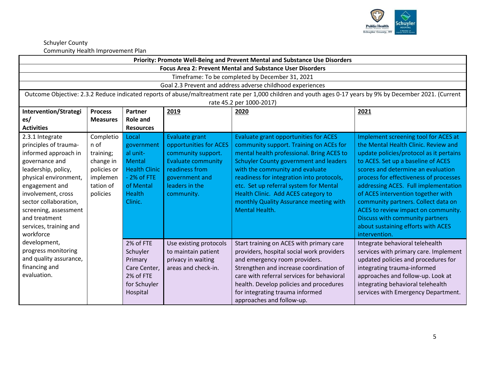

|                                                                                                                                                                                                                                                                                      | Priority: Promote Well-Being and Prevent Mental and Substance Use Disorders                     |                                                                                                                            |                                                                                                                                                                 |                                                                                                                                                                                                                                                                                                                                                                                                                    |                                                                                                                                                                                                                                                                                                                                                                                                                                                                                                     |  |  |  |
|--------------------------------------------------------------------------------------------------------------------------------------------------------------------------------------------------------------------------------------------------------------------------------------|-------------------------------------------------------------------------------------------------|----------------------------------------------------------------------------------------------------------------------------|-----------------------------------------------------------------------------------------------------------------------------------------------------------------|--------------------------------------------------------------------------------------------------------------------------------------------------------------------------------------------------------------------------------------------------------------------------------------------------------------------------------------------------------------------------------------------------------------------|-----------------------------------------------------------------------------------------------------------------------------------------------------------------------------------------------------------------------------------------------------------------------------------------------------------------------------------------------------------------------------------------------------------------------------------------------------------------------------------------------------|--|--|--|
|                                                                                                                                                                                                                                                                                      | <b>Focus Area 2: Prevent Mental and Substance User Disorders</b>                                |                                                                                                                            |                                                                                                                                                                 |                                                                                                                                                                                                                                                                                                                                                                                                                    |                                                                                                                                                                                                                                                                                                                                                                                                                                                                                                     |  |  |  |
|                                                                                                                                                                                                                                                                                      |                                                                                                 |                                                                                                                            |                                                                                                                                                                 | Timeframe: To be completed by December 31, 2021                                                                                                                                                                                                                                                                                                                                                                    |                                                                                                                                                                                                                                                                                                                                                                                                                                                                                                     |  |  |  |
|                                                                                                                                                                                                                                                                                      |                                                                                                 |                                                                                                                            |                                                                                                                                                                 | Goal 2.3 Prevent and address adverse childhood experiences                                                                                                                                                                                                                                                                                                                                                         |                                                                                                                                                                                                                                                                                                                                                                                                                                                                                                     |  |  |  |
|                                                                                                                                                                                                                                                                                      |                                                                                                 |                                                                                                                            |                                                                                                                                                                 | Outcome Objective: 2.3.2 Reduce indicated reports of abuse/maltreatment rate per 1,000 children and youth ages 0-17 years by 9% by December 2021. (Current                                                                                                                                                                                                                                                         |                                                                                                                                                                                                                                                                                                                                                                                                                                                                                                     |  |  |  |
|                                                                                                                                                                                                                                                                                      |                                                                                                 |                                                                                                                            |                                                                                                                                                                 | rate 45.2 per 1000-2017)                                                                                                                                                                                                                                                                                                                                                                                           |                                                                                                                                                                                                                                                                                                                                                                                                                                                                                                     |  |  |  |
| Intervention/Strategi                                                                                                                                                                                                                                                                | <b>Process</b>                                                                                  | Partner                                                                                                                    | 2019                                                                                                                                                            | 2020                                                                                                                                                                                                                                                                                                                                                                                                               | 2021                                                                                                                                                                                                                                                                                                                                                                                                                                                                                                |  |  |  |
| es/                                                                                                                                                                                                                                                                                  | <b>Measures</b>                                                                                 | <b>Role and</b>                                                                                                            |                                                                                                                                                                 |                                                                                                                                                                                                                                                                                                                                                                                                                    |                                                                                                                                                                                                                                                                                                                                                                                                                                                                                                     |  |  |  |
| <b>Activities</b>                                                                                                                                                                                                                                                                    |                                                                                                 | <b>Resources</b>                                                                                                           |                                                                                                                                                                 |                                                                                                                                                                                                                                                                                                                                                                                                                    |                                                                                                                                                                                                                                                                                                                                                                                                                                                                                                     |  |  |  |
| 2.3.1 Integrate<br>principles of trauma-<br>informed approach in<br>governance and<br>leadership, policy,<br>physical environment,<br>engagement and<br>involvement, cross<br>sector collaboration,<br>screening, assessment<br>and treatment<br>services, training and<br>workforce | Completio<br>n of<br>training;<br>change in<br>policies or<br>implemen<br>tation of<br>policies | Local<br>government<br>al unit-<br>Mental<br><b>Health Clinic</b><br>$-2%$ of FTE<br>of Mental<br><b>Health</b><br>Clinic. | Evaluate grant<br>opportunities for ACES<br>community support.<br><b>Evaluate community</b><br>readiness from<br>government and<br>leaders in the<br>community. | <b>Evaluate grant opportunities for ACES</b><br>community support. Training on ACEs for<br>mental health professional. Bring ACES to<br><b>Schuyler County government and leaders</b><br>with the community and evaluate<br>readiness for integration into protocols,<br>etc. Set up referral system for Mental<br>Health Clinic. Add ACES category to<br>monthly Quality Assurance meeting with<br>Mental Health. | Implement screening tool for ACES at<br>the Mental Health Clinic. Review and<br>update policies/protocol as it pertains<br>to ACES. Set up a baseline of ACES<br>scores and determine an evaluation<br>process for effectiveness of processes<br>addressing ACES. Full implementation<br>of ACES intervention together with<br>community partners. Collect data on<br>ACES to review impact on community.<br>Discuss with community partners<br>about sustaining efforts with ACES<br>intervention. |  |  |  |
| development,<br>progress monitoring<br>and quality assurance,<br>financing and<br>evaluation.                                                                                                                                                                                        |                                                                                                 | 2% of FTE<br>Schuyler<br>Primary<br>Care Center,<br>2% of FTE<br>for Schuyler<br>Hospital                                  | Use existing protocols<br>to maintain patient<br>privacy in waiting<br>areas and check-in.                                                                      | Start training on ACES with primary care<br>providers, hospital social work providers<br>and emergency room providers.<br>Strengthen and increase coordination of<br>care with referral services for behavioral<br>health. Develop policies and procedures<br>for integrating trauma informed<br>approaches and follow-up.                                                                                         | Integrate behavioral telehealth<br>services with primary care. Implement<br>updated policies and procedures for<br>integrating trauma-informed<br>approaches and follow-up. Look at<br>integrating behavioral telehealth<br>services with Emergency Department.                                                                                                                                                                                                                                     |  |  |  |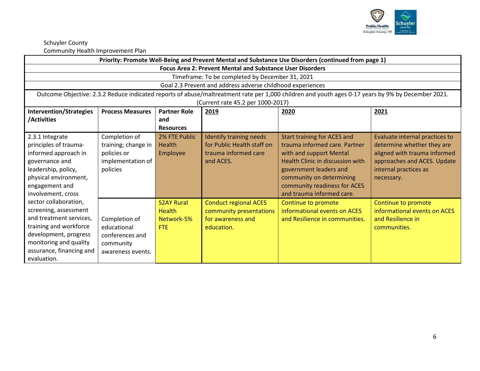

|                                | Priority: Promote Well-Being and Prevent Mental and Substance Use Disorders (continued from page 1) |                     |                                                                  |                                                                                                                                                   |                                |  |
|--------------------------------|-----------------------------------------------------------------------------------------------------|---------------------|------------------------------------------------------------------|---------------------------------------------------------------------------------------------------------------------------------------------------|--------------------------------|--|
|                                |                                                                                                     |                     | <b>Focus Area 2: Prevent Mental and Substance User Disorders</b> |                                                                                                                                                   |                                |  |
|                                |                                                                                                     |                     | Timeframe: To be completed by December 31, 2021                  |                                                                                                                                                   |                                |  |
|                                |                                                                                                     |                     | Goal 2.3 Prevent and address adverse childhood experiences       |                                                                                                                                                   |                                |  |
|                                |                                                                                                     |                     |                                                                  | Outcome Objective: 2.3.2 Reduce indicated reports of abuse/maltreatment rate per 1,000 children and youth ages 0-17 years by 9% by December 2021. |                                |  |
|                                |                                                                                                     |                     | (Current rate 45.2 per 1000-2017)                                |                                                                                                                                                   |                                |  |
| <b>Intervention/Strategies</b> | <b>Process Measures</b>                                                                             | <b>Partner Role</b> | 2019                                                             | 2020                                                                                                                                              | 2021                           |  |
| /Activities                    |                                                                                                     | and                 |                                                                  |                                                                                                                                                   |                                |  |
|                                |                                                                                                     | <b>Resources</b>    |                                                                  |                                                                                                                                                   |                                |  |
| 2.3.1 Integrate                | Completion of                                                                                       | 2% FTE Public       | Identify training needs                                          | Start training for ACES and                                                                                                                       | Evaluate internal practices to |  |
| principles of trauma-          | training; change in                                                                                 | Health              | for Public Health staff on                                       | trauma informed care. Partner                                                                                                                     | determine whether they are     |  |
| informed approach in           | policies or                                                                                         | Employee            | trauma informed care                                             | with and support Mental                                                                                                                           | aligned with trauma informed   |  |
| governance and                 | implementation of                                                                                   |                     | and ACES.                                                        | Health Clinic in discussion with                                                                                                                  | approaches and ACES. Update    |  |
| leadership, policy,            | policies                                                                                            |                     |                                                                  | government leaders and                                                                                                                            | internal practices as          |  |
| physical environment,          |                                                                                                     |                     |                                                                  | community on determining                                                                                                                          | necessary.                     |  |
| engagement and                 |                                                                                                     |                     |                                                                  | community readiness for ACES                                                                                                                      |                                |  |
| involvement, cross             |                                                                                                     |                     |                                                                  | and trauma informed care.                                                                                                                         |                                |  |
| sector collaboration,          |                                                                                                     | <b>S2AY Rural</b>   | <b>Conduct regional ACES</b>                                     | Continue to promote                                                                                                                               | Continue to promote            |  |
| screening, assessment          |                                                                                                     | <b>Health</b>       | community presentations                                          | informational events on ACES                                                                                                                      | informational events on ACES   |  |
| and treatment services,        | Completion of                                                                                       | Network-5%          | for awareness and                                                | and Resilience in communities.                                                                                                                    | and Resilience in              |  |
| training and workforce         | educational                                                                                         | FTE                 | education.                                                       |                                                                                                                                                   | communities.                   |  |
| development, progress          | conferences and                                                                                     |                     |                                                                  |                                                                                                                                                   |                                |  |
| monitoring and quality         | community                                                                                           |                     |                                                                  |                                                                                                                                                   |                                |  |
| assurance, financing and       | awareness events.                                                                                   |                     |                                                                  |                                                                                                                                                   |                                |  |
| evaluation.                    |                                                                                                     |                     |                                                                  |                                                                                                                                                   |                                |  |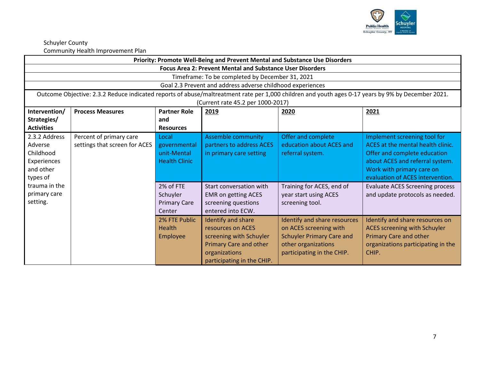

| Priority: Promote Well-Being and Prevent Mental and Substance Use Disorders   |                                                                                                   |                                                               |                                                                                                                                                    |                                                                                                                                                 |                                                                                                                                                                                                       |  |
|-------------------------------------------------------------------------------|---------------------------------------------------------------------------------------------------|---------------------------------------------------------------|----------------------------------------------------------------------------------------------------------------------------------------------------|-------------------------------------------------------------------------------------------------------------------------------------------------|-------------------------------------------------------------------------------------------------------------------------------------------------------------------------------------------------------|--|
|                                                                               |                                                                                                   |                                                               | <b>Focus Area 2: Prevent Mental and Substance User Disorders</b>                                                                                   |                                                                                                                                                 |                                                                                                                                                                                                       |  |
|                                                                               |                                                                                                   |                                                               | Timeframe: To be completed by December 31, 2021                                                                                                    |                                                                                                                                                 |                                                                                                                                                                                                       |  |
|                                                                               |                                                                                                   |                                                               | Goal 2.3 Prevent and address adverse childhood experiences                                                                                         |                                                                                                                                                 |                                                                                                                                                                                                       |  |
|                                                                               |                                                                                                   |                                                               | (Current rate 45.2 per 1000-2017)                                                                                                                  |                                                                                                                                                 | Outcome Objective: 2.3.2 Reduce indicated reports of abuse/maltreatment rate per 1,000 children and youth ages 0-17 years by 9% by December 2021.                                                     |  |
| Intervention/<br>Strategies/<br><b>Activities</b>                             | <b>Process Measures</b><br><b>Partner Role</b><br>2020<br>2021<br>2019<br>and<br><b>Resources</b> |                                                               |                                                                                                                                                    |                                                                                                                                                 |                                                                                                                                                                                                       |  |
| 2.3.2 Address<br>Adverse<br>Childhood<br>Experiences<br>and other<br>types of | Percent of primary care<br>settings that screen for ACES                                          | Local<br>governmental<br>unit-Mental<br><b>Health Clinic</b>  | <b>Assemble community</b><br>partners to address ACES<br>in primary care setting                                                                   | Offer and complete<br>education about ACES and<br>referral system.                                                                              | Implement screening tool for<br>ACES at the mental health clinic.<br>Offer and complete education<br>about ACES and referral system.<br>Work with primary care on<br>evaluation of ACES intervention. |  |
| trauma in the<br>primary care<br>setting.                                     |                                                                                                   | 2% of FTE<br>Schuyler<br><b>Primary Care</b><br><b>Center</b> | Start conversation with<br><b>EMR on getting ACES</b><br>screening questions<br>entered into ECW.                                                  | Training for ACES, end of<br>year start using ACES<br>screening tool.                                                                           | <b>Evaluate ACES Screening process</b><br>and update protocols as needed.                                                                                                                             |  |
|                                                                               |                                                                                                   | 2% FTE Public<br>Health<br>Employee                           | Identify and share<br>resources on ACES<br>screening with Schuyler<br><b>Primary Care and other</b><br>organizations<br>participating in the CHIP. | Identify and share resources<br>on ACES screening with<br><b>Schuyler Primary Care and</b><br>other organizations<br>participating in the CHIP. | Identify and share resources on<br>ACES screening with Schuyler<br><b>Primary Care and other</b><br>organizations participating in the<br>CHIP.                                                       |  |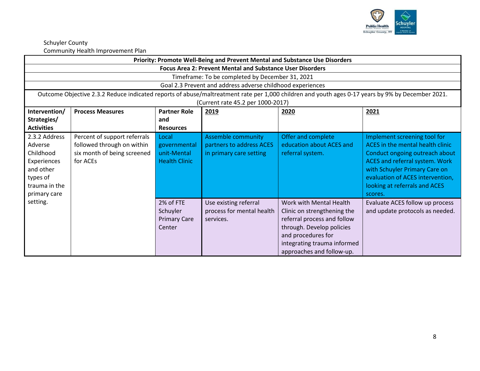

|                                                                                                                | Community incarting inprovement right<br>Priority: Promote Well-Being and Prevent Mental and Substance Use Disorders |                                                              |                                                                                  |                                                                                                                                                                                                      |                                                                                                                                                                                                                                                              |  |  |
|----------------------------------------------------------------------------------------------------------------|----------------------------------------------------------------------------------------------------------------------|--------------------------------------------------------------|----------------------------------------------------------------------------------|------------------------------------------------------------------------------------------------------------------------------------------------------------------------------------------------------|--------------------------------------------------------------------------------------------------------------------------------------------------------------------------------------------------------------------------------------------------------------|--|--|
|                                                                                                                |                                                                                                                      |                                                              | <b>Focus Area 2: Prevent Mental and Substance User Disorders</b>                 |                                                                                                                                                                                                      |                                                                                                                                                                                                                                                              |  |  |
|                                                                                                                |                                                                                                                      |                                                              | Timeframe: To be completed by December 31, 2021                                  |                                                                                                                                                                                                      |                                                                                                                                                                                                                                                              |  |  |
|                                                                                                                |                                                                                                                      |                                                              | Goal 2.3 Prevent and address adverse childhood experiences                       |                                                                                                                                                                                                      |                                                                                                                                                                                                                                                              |  |  |
|                                                                                                                |                                                                                                                      |                                                              | (Current rate 45.2 per 1000-2017)                                                |                                                                                                                                                                                                      | Outcome Objective 2.3.2 Reduce indicated reports of abuse/maltreatment rate per 1,000 children and youth ages 0-17 years by 9% by December 2021.                                                                                                             |  |  |
| Intervention/                                                                                                  | <b>Process Measures</b>                                                                                              | <b>Partner Role</b>                                          | 2019                                                                             | 2020                                                                                                                                                                                                 | 2021                                                                                                                                                                                                                                                         |  |  |
| Strategies/                                                                                                    |                                                                                                                      | and                                                          |                                                                                  |                                                                                                                                                                                                      |                                                                                                                                                                                                                                                              |  |  |
| <b>Activities</b>                                                                                              |                                                                                                                      | <b>Resources</b>                                             |                                                                                  |                                                                                                                                                                                                      |                                                                                                                                                                                                                                                              |  |  |
| 2.3.2 Address<br>Adverse<br>Childhood<br>Experiences<br>and other<br>types of<br>trauma in the<br>primary care | Percent of support referrals<br>followed through on within<br>six month of being screened<br>for ACEs                | Local<br>governmental<br>unit-Mental<br><b>Health Clinic</b> | <b>Assemble community</b><br>partners to address ACES<br>in primary care setting | Offer and complete<br>education about ACES and<br>referral system.                                                                                                                                   | Implement screening tool for<br>ACES in the mental health clinic<br>Conduct ongoing outreach about<br><b>ACES</b> and referral system. Work<br>with Schuyler Primary Care on<br>evaluation of ACES intervention,<br>looking at referrals and ACES<br>scores. |  |  |
| setting.                                                                                                       |                                                                                                                      | 2% of FTE<br>Schuyler<br><b>Primary Care</b><br>Center       | Use existing referral<br>process for mental health<br>services.                  | Work with Mental Health<br>Clinic on strengthening the<br>referral process and follow<br>through. Develop policies<br>and procedures for<br>integrating trauma informed<br>approaches and follow-up. | Evaluate ACES follow up process<br>and update protocols as needed.                                                                                                                                                                                           |  |  |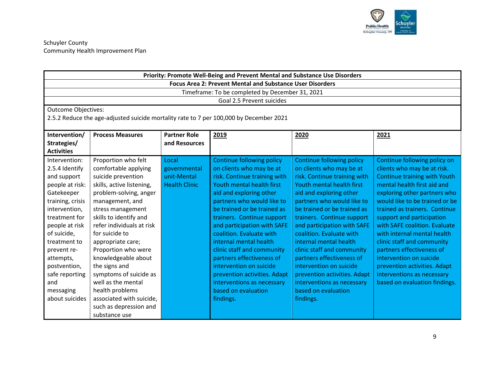

|                            |                                                                  |                      | Priority: Promote Well-Being and Prevent Mental and Substance Use Disorders            |                                  |                                     |  |  |  |
|----------------------------|------------------------------------------------------------------|----------------------|----------------------------------------------------------------------------------------|----------------------------------|-------------------------------------|--|--|--|
|                            | <b>Focus Area 2: Prevent Mental and Substance User Disorders</b> |                      |                                                                                        |                                  |                                     |  |  |  |
|                            |                                                                  |                      | Timeframe: To be completed by December 31, 2021                                        |                                  |                                     |  |  |  |
|                            |                                                                  |                      | Goal 2.5 Prevent suicides                                                              |                                  |                                     |  |  |  |
| <b>Outcome Objectives:</b> |                                                                  |                      |                                                                                        |                                  |                                     |  |  |  |
|                            |                                                                  |                      | 2.5.2 Reduce the age-adjusted suicide mortality rate to 7 per 100,000 by December 2021 |                                  |                                     |  |  |  |
|                            |                                                                  |                      |                                                                                        |                                  |                                     |  |  |  |
| Intervention/              | <b>Process Measures</b>                                          | <b>Partner Role</b>  | 2019                                                                                   | 2020                             | 2021                                |  |  |  |
| Strategies/                |                                                                  | and Resources        |                                                                                        |                                  |                                     |  |  |  |
| <b>Activities</b>          |                                                                  |                      |                                                                                        |                                  |                                     |  |  |  |
| Intervention:              | Proportion who felt                                              | Local                | <b>Continue following policy</b>                                                       | <b>Continue following policy</b> | Continue following policy on        |  |  |  |
| 2.5.4 Identify             | comfortable applying                                             | governmental         | on clients who may be at                                                               | on clients who may be at         | clients who may be at risk.         |  |  |  |
| and support                | suicide prevention                                               | unit-Mental          | risk. Continue training with                                                           | risk. Continue training with     | <b>Continue training with Youth</b> |  |  |  |
| people at risk:            | skills, active listening,                                        | <b>Health Clinic</b> | Youth mental health first                                                              | Youth mental health first        | mental health first aid and         |  |  |  |
| Gatekeeper                 | problem-solving, anger                                           |                      | aid and exploring other                                                                | aid and exploring other          | exploring other partners who        |  |  |  |
| training, crisis           | management, and                                                  |                      | partners who would like to                                                             | partners who would like to       | would like to be trained or be      |  |  |  |
| intervention,              | stress management                                                |                      | be trained or be trained as                                                            | be trained or be trained as      | trained as trainers. Continue       |  |  |  |
| treatment for              | skills to identify and                                           |                      | trainers. Continue support                                                             | trainers. Continue support       | support and participation           |  |  |  |
| people at risk             | refer individuals at risk                                        |                      | and participation with SAFE                                                            | and participation with SAFE      | with SAFE coalition. Evaluate       |  |  |  |
| of suicide,                | for suicide to                                                   |                      | coalition. Evaluate with                                                               | coalition. Evaluate with         | with internal mental health         |  |  |  |
| treatment to               | appropriate care;                                                |                      | internal mental health                                                                 | internal mental health           | clinic staff and community          |  |  |  |
| prevent re-                | Proportion who were                                              |                      | clinic staff and community                                                             | clinic staff and community       | partners effectiveness of           |  |  |  |
| attempts,                  | knowledgeable about                                              |                      | partners effectiveness of                                                              | partners effectiveness of        | intervention on suicide             |  |  |  |
| postvention,               | the signs and                                                    |                      | intervention on suicide                                                                | intervention on suicide          | prevention activities. Adapt        |  |  |  |
| safe reporting             | symptoms of suicide as                                           |                      | prevention activities. Adapt                                                           | prevention activities. Adapt     | interventions as necessary          |  |  |  |
| and                        | well as the mental                                               |                      | interventions as necessary                                                             | interventions as necessary       | based on evaluation findings.       |  |  |  |
| messaging                  | health problems                                                  |                      | based on evaluation                                                                    | based on evaluation              |                                     |  |  |  |
| about suicides             | associated with suicide,                                         |                      | findings.                                                                              | findings.                        |                                     |  |  |  |
|                            | such as depression and                                           |                      |                                                                                        |                                  |                                     |  |  |  |
|                            | substance use                                                    |                      |                                                                                        |                                  |                                     |  |  |  |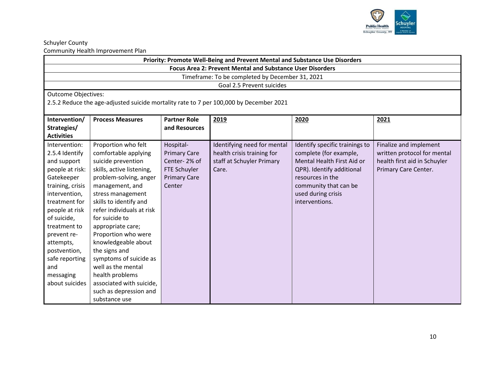

|                                                                  | Priority: Promote Well-Being and Prevent Mental and Substance Use Disorders |                     |                                                                                        |                                |                              |  |  |  |
|------------------------------------------------------------------|-----------------------------------------------------------------------------|---------------------|----------------------------------------------------------------------------------------|--------------------------------|------------------------------|--|--|--|
| <b>Focus Area 2: Prevent Mental and Substance User Disorders</b> |                                                                             |                     |                                                                                        |                                |                              |  |  |  |
|                                                                  | Timeframe: To be completed by December 31, 2021                             |                     |                                                                                        |                                |                              |  |  |  |
|                                                                  |                                                                             |                     | Goal 2.5 Prevent suicides                                                              |                                |                              |  |  |  |
| <b>Outcome Objectives:</b>                                       |                                                                             |                     |                                                                                        |                                |                              |  |  |  |
|                                                                  |                                                                             |                     | 2.5.2 Reduce the age-adjusted suicide mortality rate to 7 per 100,000 by December 2021 |                                |                              |  |  |  |
|                                                                  |                                                                             |                     |                                                                                        |                                |                              |  |  |  |
| Intervention/                                                    | <b>Process Measures</b>                                                     | <b>Partner Role</b> | 2019                                                                                   | 2020                           | 2021                         |  |  |  |
| Strategies/                                                      |                                                                             | and Resources       |                                                                                        |                                |                              |  |  |  |
| <b>Activities</b>                                                |                                                                             |                     |                                                                                        |                                |                              |  |  |  |
| Intervention:                                                    | Proportion who felt                                                         | Hospital-           | Identifying need for mental                                                            | Identify specific trainings to | Finalize and implement       |  |  |  |
| 2.5.4 Identify                                                   | comfortable applying                                                        | <b>Primary Care</b> | health crisis training for                                                             | complete (for example,         | written protocol for mental  |  |  |  |
| and support                                                      | suicide prevention                                                          | Center-2% of        | staff at Schuyler Primary                                                              | Mental Health First Aid or     | health first aid in Schuyler |  |  |  |
| people at risk:                                                  | skills, active listening,                                                   | FTE Schuyler        | Care.                                                                                  | QPR). Identify additional      | Primary Care Center.         |  |  |  |
| Gatekeeper                                                       | problem-solving, anger                                                      | <b>Primary Care</b> |                                                                                        | resources in the               |                              |  |  |  |
| training, crisis                                                 | management, and                                                             | Center              |                                                                                        | community that can be          |                              |  |  |  |
| intervention,                                                    | stress management                                                           |                     |                                                                                        | used during crisis             |                              |  |  |  |
| treatment for                                                    | skills to identify and                                                      |                     |                                                                                        | interventions.                 |                              |  |  |  |
| people at risk                                                   | refer individuals at risk                                                   |                     |                                                                                        |                                |                              |  |  |  |
| of suicide,                                                      | for suicide to                                                              |                     |                                                                                        |                                |                              |  |  |  |
| treatment to                                                     | appropriate care;                                                           |                     |                                                                                        |                                |                              |  |  |  |
| prevent re-                                                      | Proportion who were                                                         |                     |                                                                                        |                                |                              |  |  |  |
| attempts,                                                        | knowledgeable about                                                         |                     |                                                                                        |                                |                              |  |  |  |
| postvention,                                                     | the signs and                                                               |                     |                                                                                        |                                |                              |  |  |  |
| safe reporting                                                   | symptoms of suicide as                                                      |                     |                                                                                        |                                |                              |  |  |  |
| and                                                              | well as the mental                                                          |                     |                                                                                        |                                |                              |  |  |  |
| messaging                                                        | health problems                                                             |                     |                                                                                        |                                |                              |  |  |  |
| about suicides                                                   | associated with suicide,                                                    |                     |                                                                                        |                                |                              |  |  |  |
|                                                                  | such as depression and                                                      |                     |                                                                                        |                                |                              |  |  |  |
|                                                                  | substance use                                                               |                     |                                                                                        |                                |                              |  |  |  |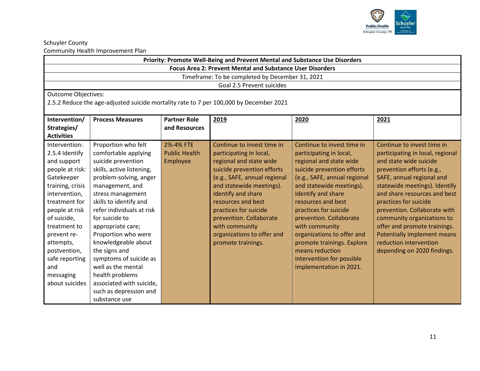

| Priority: Promote Well-Being and Prevent Mental and Substance Use Disorders |                                                                                        |                      |                              |                              |                                  |  |
|-----------------------------------------------------------------------------|----------------------------------------------------------------------------------------|----------------------|------------------------------|------------------------------|----------------------------------|--|
| <b>Focus Area 2: Prevent Mental and Substance User Disorders</b>            |                                                                                        |                      |                              |                              |                                  |  |
| Timeframe: To be completed by December 31, 2021                             |                                                                                        |                      |                              |                              |                                  |  |
| Goal 2.5 Prevent suicides                                                   |                                                                                        |                      |                              |                              |                                  |  |
| <b>Outcome Objectives:</b>                                                  |                                                                                        |                      |                              |                              |                                  |  |
|                                                                             | 2.5.2 Reduce the age-adjusted suicide mortality rate to 7 per 100,000 by December 2021 |                      |                              |                              |                                  |  |
| Intervention/                                                               | <b>Partner Role</b><br><b>Process Measures</b>                                         |                      |                              |                              |                                  |  |
| Strategies/                                                                 |                                                                                        | and Resources        | 2019                         | 2020                         | 2021                             |  |
| <b>Activities</b>                                                           |                                                                                        |                      |                              |                              |                                  |  |
| Intervention:                                                               | Proportion who felt                                                                    | 2%-4% FTE            | Continue to invest time in   | Continue to invest time in   | Continue to invest time in       |  |
| 2.5.4 Identify                                                              | comfortable applying                                                                   | <b>Public Health</b> | participating in local,      | participating in local,      | participating in local, regional |  |
| and support                                                                 | suicide prevention                                                                     | Employee             | regional and state wide      | regional and state wide      | and state wide suicide           |  |
| people at risk:                                                             | skills, active listening,                                                              |                      | suicide prevention efforts   | suicide prevention efforts   | prevention efforts (e.g.,        |  |
| Gatekeeper                                                                  | problem-solving, anger                                                                 |                      | (e.g., SAFE, annual regional | (e.g., SAFE, annual regional | SAFE, annual regional and        |  |
| training, crisis                                                            | management, and                                                                        |                      | and statewide meetings).     | and statewide meetings).     | statewide meetings). Identify    |  |
| intervention,                                                               | stress management                                                                      |                      | Identify and share           | Identify and share           | and share resources and best     |  |
| treatment for                                                               | skills to identify and                                                                 |                      | resources and best           | resources and best           | practices for suicide            |  |
| people at risk                                                              | refer individuals at risk                                                              |                      | practices for suicide        | practices for suicide        | prevention. Collaborate with     |  |
| of suicide,                                                                 | for suicide to                                                                         |                      | prevention. Collaborate      | prevention. Collaborate      | community organizations to       |  |
| treatment to                                                                | appropriate care;                                                                      |                      | with community               | with community               | offer and promote trainings.     |  |
| prevent re-                                                                 | Proportion who were                                                                    |                      | organizations to offer and   | organizations to offer and   | Potentially implement means      |  |
| attempts,                                                                   | knowledgeable about                                                                    |                      | promote trainings.           | promote trainings. Explore   | reduction intervention           |  |
| postvention,                                                                | the signs and                                                                          |                      |                              | means reduction              | depending on 2020 findings.      |  |
| safe reporting                                                              | symptoms of suicide as                                                                 |                      |                              | intervention for possible    |                                  |  |
| and                                                                         | well as the mental                                                                     |                      |                              | implementation in 2021.      |                                  |  |
| messaging                                                                   | health problems                                                                        |                      |                              |                              |                                  |  |
| about suicides                                                              | associated with suicide,                                                               |                      |                              |                              |                                  |  |
|                                                                             | such as depression and                                                                 |                      |                              |                              |                                  |  |
|                                                                             | substance use                                                                          |                      |                              |                              |                                  |  |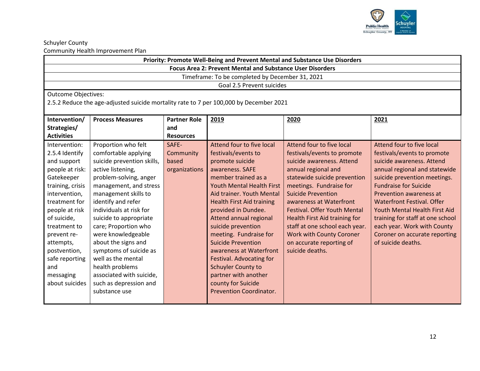

| Priority: Promote Well-Being and Prevent Mental and Substance Use Disorders |                                                                                                                  |                  |                                                                                        |                                     |                                   |  |  |
|-----------------------------------------------------------------------------|------------------------------------------------------------------------------------------------------------------|------------------|----------------------------------------------------------------------------------------|-------------------------------------|-----------------------------------|--|--|
| <b>Focus Area 2: Prevent Mental and Substance User Disorders</b>            |                                                                                                                  |                  |                                                                                        |                                     |                                   |  |  |
| Timeframe: To be completed by December 31, 2021                             |                                                                                                                  |                  |                                                                                        |                                     |                                   |  |  |
|                                                                             | Goal 2.5 Prevent suicides                                                                                        |                  |                                                                                        |                                     |                                   |  |  |
| <b>Outcome Objectives:</b>                                                  |                                                                                                                  |                  |                                                                                        |                                     |                                   |  |  |
|                                                                             |                                                                                                                  |                  | 2.5.2 Reduce the age-adjusted suicide mortality rate to 7 per 100,000 by December 2021 |                                     |                                   |  |  |
| Intervention/                                                               | <b>Partner Role</b><br><b>Process Measures</b><br>2019<br>2020<br>2021                                           |                  |                                                                                        |                                     |                                   |  |  |
| Strategies/                                                                 |                                                                                                                  | and              |                                                                                        |                                     |                                   |  |  |
| <b>Activities</b>                                                           |                                                                                                                  | <b>Resources</b> |                                                                                        |                                     |                                   |  |  |
| Intervention:                                                               | Proportion who felt                                                                                              | SAFE-            | Attend four to five local                                                              | Attend four to five local           | Attend four to five local         |  |  |
| 2.5.4 Identify                                                              | comfortable applying                                                                                             | Community        | festivals/events to                                                                    | festivals/events to promote         | festivals/events to promote       |  |  |
| and support                                                                 | suicide prevention skills,                                                                                       | based            | promote suicide                                                                        | suicide awareness. Attend           | suicide awareness. Attend         |  |  |
| people at risk:                                                             | active listening,                                                                                                | organizations    | awareness. SAFE                                                                        | annual regional and                 | annual regional and statewide     |  |  |
| Gatekeeper                                                                  | problem-solving, anger                                                                                           |                  | member trained as a                                                                    | statewide suicide prevention        | suicide prevention meetings.      |  |  |
| training, crisis                                                            | management, and stress                                                                                           |                  | <b>Youth Mental Health First</b>                                                       | meetings. Fundraise for             | <b>Fundraise for Suicide</b>      |  |  |
| intervention,                                                               | management skills to                                                                                             |                  | Aid trainer. Youth Mental                                                              | <b>Suicide Prevention</b>           | Prevention awareness at           |  |  |
| treatment for                                                               | identify and refer                                                                                               |                  | <b>Health First Aid training</b>                                                       | awareness at Waterfront             | <b>Waterfront Festival, Offer</b> |  |  |
| people at risk                                                              | individuals at risk for                                                                                          |                  | provided in Dundee.                                                                    | <b>Festival. Offer Youth Mental</b> | Youth Mental Health First Aid     |  |  |
| of suicide,                                                                 | suicide to appropriate                                                                                           |                  | <b>Attend annual regional</b>                                                          | Health First Aid training for       | training for staff at one school  |  |  |
| treatment to                                                                | care; Proportion who                                                                                             |                  | suicide prevention                                                                     | staff at one school each year.      | each year. Work with County       |  |  |
| prevent re-                                                                 | were knowledgeable<br>meeting. Fundraise for<br><b>Work with County Coroner</b><br>Coroner on accurate reporting |                  |                                                                                        |                                     |                                   |  |  |
| attempts,                                                                   | about the signs and<br><b>Suicide Prevention</b><br>on accurate reporting of<br>of suicide deaths.               |                  |                                                                                        |                                     |                                   |  |  |
| postvention,                                                                | symptoms of suicide as                                                                                           |                  | awareness at Waterfront                                                                | suicide deaths.                     |                                   |  |  |
| safe reporting                                                              | well as the mental                                                                                               |                  | Festival. Advocating for                                                               |                                     |                                   |  |  |
| and                                                                         | health problems                                                                                                  |                  | <b>Schuyler County to</b>                                                              |                                     |                                   |  |  |
| messaging                                                                   | associated with suicide,                                                                                         |                  | partner with another                                                                   |                                     |                                   |  |  |
| about suicides                                                              | such as depression and                                                                                           |                  | county for Suicide<br><b>Prevention Coordinator.</b>                                   |                                     |                                   |  |  |
| substance use                                                               |                                                                                                                  |                  |                                                                                        |                                     |                                   |  |  |
|                                                                             |                                                                                                                  |                  |                                                                                        |                                     |                                   |  |  |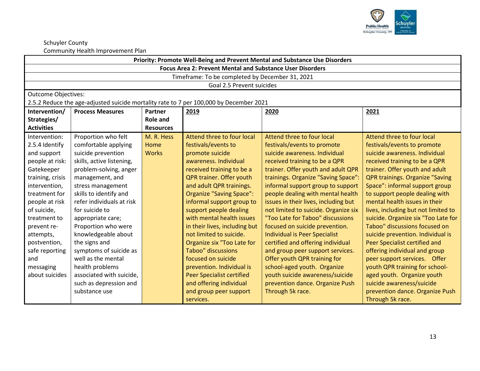

| Priority: Promote Well-Being and Prevent Mental and Substance Use Disorders |                                                            |                  |                                                                                        |                                      |                                        |  |
|-----------------------------------------------------------------------------|------------------------------------------------------------|------------------|----------------------------------------------------------------------------------------|--------------------------------------|----------------------------------------|--|
| <b>Focus Area 2: Prevent Mental and Substance User Disorders</b>            |                                                            |                  |                                                                                        |                                      |                                        |  |
|                                                                             |                                                            |                  | Timeframe: To be completed by December 31, 2021                                        |                                      |                                        |  |
| Goal 2.5 Prevent suicides                                                   |                                                            |                  |                                                                                        |                                      |                                        |  |
| <b>Outcome Objectives:</b>                                                  |                                                            |                  |                                                                                        |                                      |                                        |  |
|                                                                             |                                                            |                  | 2.5.2 Reduce the age-adjusted suicide mortality rate to 7 per 100,000 by December 2021 |                                      |                                        |  |
| Intervention/                                                               | Partner<br><b>Process Measures</b><br>2019<br>2021<br>2020 |                  |                                                                                        |                                      |                                        |  |
| Strategies/                                                                 |                                                            | <b>Role and</b>  |                                                                                        |                                      |                                        |  |
| <b>Activities</b>                                                           |                                                            | <b>Resources</b> |                                                                                        |                                      |                                        |  |
| Intervention:                                                               | Proportion who felt                                        | M. R. Hess       | Attend three to four local                                                             | Attend three to four local           | Attend three to four local             |  |
| 2.5.4 Identify                                                              | comfortable applying                                       | Home             | festivals/events to                                                                    | festivals/events to promote          | festivals/events to promote            |  |
| and support                                                                 | suicide prevention                                         | <b>Works</b>     | promote suicide                                                                        | suicide awareness. Individual        | suicide awareness. Individual          |  |
| people at risk:                                                             | skills, active listening,                                  |                  | awareness. Individual                                                                  | received training to be a QPR        | received training to be a QPR          |  |
| Gatekeeper                                                                  | problem-solving, anger                                     |                  | received training to be a                                                              | trainer. Offer youth and adult QPR   | trainer. Offer youth and adult         |  |
| training, crisis                                                            | management, and                                            |                  | QPR trainer. Offer youth                                                               | trainings. Organize "Saving Space":  | <b>QPR trainings. Organize "Saving</b> |  |
| intervention,                                                               | stress management                                          |                  | and adult QPR trainings.                                                               | informal support group to support    | Space": informal support group         |  |
| treatment for                                                               | skills to identify and                                     |                  | Organize "Saving Space":                                                               | people dealing with mental health    | to support people dealing with         |  |
| people at risk                                                              | refer individuals at risk                                  |                  | informal support group to                                                              | issues in their lives, including but | mental health issues in their          |  |
| of suicide,                                                                 | for suicide to                                             |                  | support people dealing                                                                 | not limited to suicide. Organize six | lives, including but not limited to    |  |
| treatment to                                                                | appropriate care;                                          |                  | with mental health issues                                                              | "Too Late for Taboo" discussions     | suicide. Organize six "Too Late for    |  |
| prevent re-                                                                 | Proportion who were                                        |                  | in their lives, including but                                                          | focused on suicide prevention.       | Taboo" discussions focused on          |  |
| attempts,                                                                   | knowledgeable about                                        |                  | not limited to suicide.                                                                | <b>Individual is Peer Specialist</b> | suicide prevention. Individual is      |  |
| postvention,                                                                | the signs and                                              |                  | Organize six "Too Late for                                                             | certified and offering individual    | Peer Specialist certified and          |  |
| safe reporting                                                              | symptoms of suicide as                                     |                  | <b>Taboo"</b> discussions                                                              | and group peer support services.     | offering individual and group          |  |
| and                                                                         | well as the mental                                         |                  | focused on suicide                                                                     | Offer youth QPR training for         | peer support services. Offer           |  |
| messaging                                                                   | health problems                                            |                  | prevention. Individual is                                                              | school-aged youth. Organize          | youth QPR training for school-         |  |
| about suicides                                                              | associated with suicide,                                   |                  | <b>Peer Specialist certified</b>                                                       | youth suicide awareness/suicide      | aged youth. Organize youth             |  |
|                                                                             | such as depression and                                     |                  | and offering individual                                                                | prevention dance. Organize Push      | suicide awareness/suicide              |  |
|                                                                             | substance use                                              |                  | and group peer support                                                                 | Through 5k race.                     | prevention dance. Organize Push        |  |
|                                                                             |                                                            |                  | services.                                                                              |                                      | Through 5k race.                       |  |